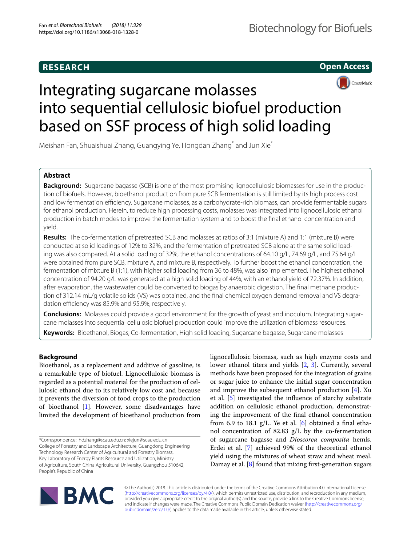# **RESEARCH**

**Open Access**



# Integrating sugarcane molasses into sequential cellulosic biofuel production based on SSF process of high solid loading

Meishan Fan, Shuaishuai Zhang, Guangying Ye, Hongdan Zhang<sup>\*</sup> and Jun Xie<sup>\*</sup>

# **Abstract**

**Background:** Sugarcane bagasse (SCB) is one of the most promising lignocellulosic biomasses for use in the production of biofuels. However, bioethanol production from pure SCB fermentation is still limited by its high process cost and low fermentation efficiency. Sugarcane molasses, as a carbohydrate-rich biomass, can provide fermentable sugars for ethanol production. Herein, to reduce high processing costs, molasses was integrated into lignocellulosic ethanol production in batch modes to improve the fermentation system and to boost the fnal ethanol concentration and yield.

**Results:** The co-fermentation of pretreated SCB and molasses at ratios of 3:1 (mixture A) and 1:1 (mixture B) were conducted at solid loadings of 12% to 32%, and the fermentation of pretreated SCB alone at the same solid loading was also compared. At a solid loading of 32%, the ethanol concentrations of 64.10 g/L, 74.69 g/L, and 75.64 g/L were obtained from pure SCB, mixture A, and mixture B, respectively. To further boost the ethanol concentration, the fermentation of mixture B (1:1), with higher solid loading from 36 to 48%, was also implemented. The highest ethanol concentration of 94.20 g/L was generated at a high solid loading of 44%, with an ethanol yield of 72.37%. In addition, after evaporation, the wastewater could be converted to biogas by anaerobic digestion. The fnal methane production of 312.14 mL/g volatile solids (VS) was obtained, and the fnal chemical oxygen demand removal and VS degradation efficiency was 85.9% and 95.9%, respectively.

**Conclusions:** Molasses could provide a good environment for the growth of yeast and inoculum. Integrating sugarcane molasses into sequential cellulosic biofuel production could improve the utilization of biomass resources.

**Keywords:** Bioethanol, Biogas, Co-fermentation, High solid loading, Sugarcane bagasse, Sugarcane molasses

# **Background**

Bioethanol, as a replacement and additive of gasoline, is a remarkable type of biofuel. Lignocellulosic biomass is regarded as a potential material for the production of cellulosic ethanol due to its relatively low cost and because it prevents the diversion of food crops to the production of bioethanol  $[1]$  $[1]$ . However, some disadvantages have limited the development of bioethanol production from

lignocellulosic biomass, such as high enzyme costs and lower ethanol titers and yields [\[2](#page-7-1), [3](#page-7-2)]. Currently, several methods have been proposed for the integration of grains or sugar juice to enhance the initial sugar concentration and improve the subsequent ethanol production  $[4]$  $[4]$ . Xu et al. [[5\]](#page-7-4) investigated the infuence of starchy substrate addition on cellulosic ethanol production, demonstrating the improvement of the fnal ethanol concentration from 6.9 to 18.1  $g/L$ . Ye et al. [[6\]](#page-7-5) obtained a final ethanol concentration of 82.83 g/L by the co-fermentation of sugarcane bagasse and *Dioscorea composita* hemls. Erdei et al. [\[7](#page-7-6)] achieved 99% of the theoretical ethanol yield using the mixtures of wheat straw and wheat meal. Damay et al. [[8\]](#page-7-7) found that mixing frst-generation sugars



© The Author(s) 2018. This article is distributed under the terms of the Creative Commons Attribution 4.0 International License [\(http://creativecommons.org/licenses/by/4.0/\)](http://creativecommons.org/licenses/by/4.0/), which permits unrestricted use, distribution, and reproduction in any medium, provided you give appropriate credit to the original author(s) and the source, provide a link to the Creative Commons license, and indicate if changes were made. The Creative Commons Public Domain Dedication waiver ([http://creativecommons.org/](http://creativecommons.org/publicdomain/zero/1.0/) [publicdomain/zero/1.0/](http://creativecommons.org/publicdomain/zero/1.0/)) applies to the data made available in this article, unless otherwise stated.

<sup>\*</sup>Correspondence: hdzhang@scau.edu.cn; xiejun@scau.edu.cn College of Forestry and Landscape Architecture, Guangdong Engineering Technology Research Center of Agricultural and Forestry Biomass, Key Laboratory of Energy Plants Resource and Utilization, Ministry of Agriculture, South China Agricultural University, Guangzhou 510642, People's Republic of China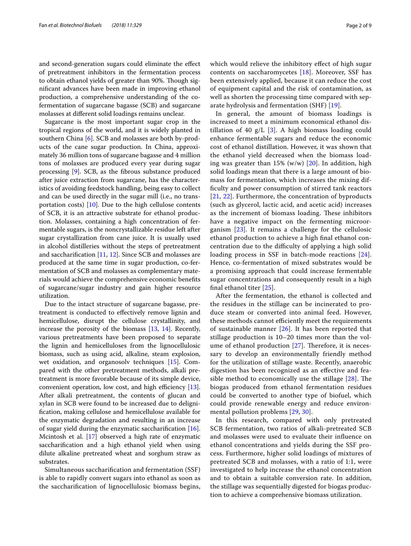and second-generation sugars could eliminate the efect of pretreatment inhibitors in the fermentation process to obtain ethanol yields of greater than 90%. Though signifcant advances have been made in improving ethanol production, a comprehensive understanding of the cofermentation of sugarcane bagasse (SCB) and sugarcane molasses at diferent solid loadings remains unclear.

Sugarcane is the most important sugar crop in the tropical regions of the world, and it is widely planted in southern China [[6](#page-7-5)]. SCB and molasses are both by-products of the cane sugar production. In China, approximately 36 million tons of sugarcane bagasse and 4 million tons of molasses are produced every year during sugar processing [\[9](#page-7-8)]. SCB, as the fbrous substance produced after juice extraction from sugarcane, has the characteristics of avoiding feedstock handling, being easy to collect and can be used directly in the sugar mill (i.e., no transportation costs)  $[10]$  $[10]$ . Due to the high cellulose contents of SCB, it is an attractive substrate for ethanol production. Molasses, containing a high concentration of fermentable sugars, is the noncrystallizable residue left after sugar crystallization from cane juice. It is usually used in alcohol distilleries without the steps of pretreatment and saccharifcation [\[11,](#page-7-10) [12\]](#page-7-11). Since SCB and molasses are produced at the same time in sugar production, co-fermentation of SCB and molasses as complementary materials would achieve the comprehensive economic benefts of sugarcane/sugar industry and gain higher resource utilization.

Due to the intact structure of sugarcane bagasse, pretreatment is conducted to efectively remove lignin and hemicellulose, disrupt the cellulose crystallinity, and increase the porosity of the biomass [\[13](#page-7-12), [14](#page-7-13)]. Recently, various pretreatments have been proposed to separate the lignin and hemicelluloses from the lignocellulosic biomass, such as using acid, alkaline, steam explosion, wet oxidation, and organosolv techniques [\[15](#page-7-14)]. Compared with the other pretreatment methods, alkali pretreatment is more favorable because of its simple device, convenient operation, low cost, and high efficiency  $[13]$  $[13]$ . After alkali pretreatment, the contents of glucan and xylan in SCB were found to be increased due to delignifcation, making cellulose and hemicellulose available for the enzymatic degradation and resulting in an increase of sugar yield during the enzymatic saccharifcation [\[16](#page-7-15)]. Mcintosh et al. [\[17\]](#page-7-16) observed a high rate of enzymatic saccharifcation and a high ethanol yield when using dilute alkaline pretreated wheat and sorghum straw as substrates.

Simultaneous saccharifcation and fermentation (SSF) is able to rapidly convert sugars into ethanol as soon as the saccharifcation of lignocellulosic biomass begins,

which would relieve the inhibitory effect of high sugar contents on saccharomycetes [[18](#page-7-17)]. Moreover, SSF has been extensively applied, because it can reduce the cost of equipment capital and the risk of contamination, as well as shorten the processing time compared with separate hydrolysis and fermentation (SHF) [\[19\]](#page-7-18).

In general, the amount of biomass loadings is increased to meet a minimum economical ethanol distillation of 40  $g/L$  [\[3](#page-7-2)]. A high biomass loading could enhance fermentable sugars and reduce the economic cost of ethanol distillation. However, it was shown that the ethanol yield decreased when the biomass loading was greater than  $15\%$  (w/w) [[20\]](#page-7-19). In addition, high solid loadings mean that there is a large amount of biomass for fermentation, which increases the mixing diffculty and power consumption of stirred tank reactors [[21](#page-7-20), [22\]](#page-7-21). Furthermore, the concentration of byproducts (such as glycerol, lactic acid, and acetic acid) increases as the increment of biomass loading. These inhibitors have a negative impact on the fermenting microorganism [[23\]](#page-7-22). It remains a challenge for the cellulosic ethanol production to achieve a high fnal ethanol concentration due to the difficulty of applying a high solid loading process in SSF in batch-mode reactions [[24](#page-7-23)]. Hence, co-fermentation of mixed substrates would be a promising approach that could increase fermentable sugar concentrations and consequently result in a high fnal ethanol titer [\[25\]](#page-7-24).

After the fermentation, the ethanol is collected and the residues in the stillage can be incinerated to produce steam or converted into animal feed. However, these methods cannot efficiently meet the requirements of sustainable manner  $[26]$  $[26]$  $[26]$ . It has been reported that stillage production is 10–20 times more than the volume of ethanol production  $[27]$  $[27]$ . Therefore, it is necessary to develop an environmentally friendly method for the utilization of stillage waste. Recently, anaerobic digestion has been recognized as an efective and feasible method to economically use the stillage  $[28]$  $[28]$  $[28]$ . The biogas produced from ethanol fermentation residues could be converted to another type of biofuel, which could provide renewable energy and reduce environmental pollution problems [[29,](#page-7-28) [30\]](#page-7-29).

In this research, compared with only pretreated SCB fermentation, two ratios of alkali-pretreated SCB and molasses were used to evaluate their infuence on ethanol concentrations and yields during the SSF process. Furthermore, higher solid loadings of mixtures of pretreated SCB and molasses, with a ratio of 1:1, were investigated to help increase the ethanol concentration and to obtain a suitable conversion rate. In addition, the stillage was sequentially digested for biogas production to achieve a comprehensive biomass utilization.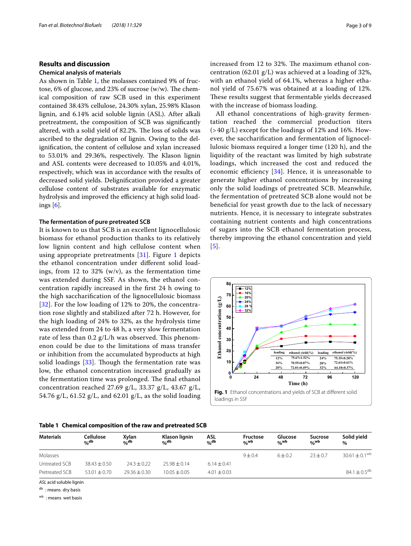# **Results and discussion**

## **Chemical analysis of materials**

As shown in Table [1](#page-2-0), the molasses contained 9% of fructose, 6% of glucose, and 23% of sucrose  $(w/w)$ . The chemical composition of raw SCB used in this experiment contained 38.43% cellulose, 24.30% xylan, 25.98% Klason lignin, and 6.14% acid soluble lignin (ASL). After alkali pretreatment, the composition of SCB was signifcantly altered, with a solid yield of 82.2%. The loss of solids was ascribed to the degradation of lignin. Owing to the delignifcation, the content of cellulose and xylan increased to 53.01% and 29.36%, respectively. The Klason lignin and ASL contents were decreased to 10.05% and 4.01%, respectively, which was in accordance with the results of decreased solid yields. Delignifcation provided a greater cellulose content of substrates available for enzymatic hydrolysis and improved the efficiency at high solid loadings [[6\]](#page-7-5).

## **The fermentation of pure pretreated SCB**

It is known to us that SCB is an excellent lignocellulosic biomass for ethanol production thanks to its relatively low lignin content and high cellulose content when using appropriate pretreatments [[31](#page-7-30)]. Figure [1](#page-2-1) depicts the ethanol concentration under diferent solid loadings, from 12 to 32%  $(w/v)$ , as the fermentation time was extended during SSF. As shown, the ethanol concentration rapidly increased in the frst 24 h owing to the high saccharifcation of the lignocellulosic biomass [[32](#page-7-31)]. For the low loading of 12% to 20%, the concentration rose slightly and stabilized after 72 h. However, for the high loading of 24% to 32%, as the hydrolysis time was extended from 24 to 48 h, a very slow fermentation rate of less than  $0.2$  g/L/h was observed. This phenomenon could be due to the limitations of mass transfer or inhibition from the accumulated byproducts at high solid loadings  $[33]$  $[33]$  $[33]$ . Though the fermentation rate was low, the ethanol concentration increased gradually as the fermentation time was prolonged. The final ethanol concentration reached 27.69 g/L, 33.37 g/L, 43.67 g/L, 54.76 g/L, 61.52 g/L, and 62.01 g/L, as the solid loading

<span id="page-2-0"></span>**Table 1 Chemical composition of the raw and pretreated SCB**

increased from 12 to 32%. The maximum ethanol concentration (62.01 g/L) was achieved at a loading of 32%, with an ethanol yield of 64.1%, whereas a higher ethanol yield of 75.67% was obtained at a loading of 12%. These results suggest that fermentable yields decreased with the increase of biomass loading.

All ethanol concentrations of high-gravity fermentation reached the commercial production titers  $(>40 \text{ g/L})$  except for the loadings of 12% and 16%. However, the saccharifcation and fermentation of lignocellulosic biomass required a longer time (120 h), and the liquidity of the reactant was limited by high substrate loadings, which increased the cost and reduced the economic efficiency  $[34]$  $[34]$ . Hence, it is unreasonable to generate higher ethanol concentrations by increasing only the solid loadings of pretreated SCB. Meanwhile, the fermentation of pretreated SCB alone would not be benefcial for yeast growth due to the lack of necessary nutrients. Hence, it is necessary to integrate substrates containing nutrient contents and high concentrations of sugars into the SCB ethanol fermentation process, thereby improving the ethanol concentration and yield [[5](#page-7-4)].

<span id="page-2-1"></span>

| Materials      | Cellulose<br>$O_0$ db | Xylan<br>$0/2$ db | Klason lignin<br>$\alpha_0$ db | ASL<br>$\alpha_0$ db | Fructose<br>o <sub>/o</sub> wb | Glucose<br>o <sub>/o</sub> wb | Sucrose<br>o <sub>/o</sub> wb | Solid yield<br>$\%$          |
|----------------|-----------------------|-------------------|--------------------------------|----------------------|--------------------------------|-------------------------------|-------------------------------|------------------------------|
| Molasses       |                       |                   |                                |                      | $9 + 0.4$                      | 6 ± 0.2                       | $23 + 0.7$                    | $30.61 \pm 0.1^{\text{wb}}$  |
| Untreated SCB  | $38.43 + 0.50$        | $24.3 \pm 0.22$   | $25.98 + 0.14$                 | $6.14 \pm 0.41$      |                                |                               |                               |                              |
| Pretreated SCB | $53.01 + 0.70$        | $29.36 \pm 0.30$  | $10.05 \pm 0.05$               | $4.01 \pm 0.03$      |                                |                               |                               | 84.1 $\pm$ 0.5 <sup>db</sup> |

*ASL* acid soluble lignin

db : means dry basis

wb : means wet basis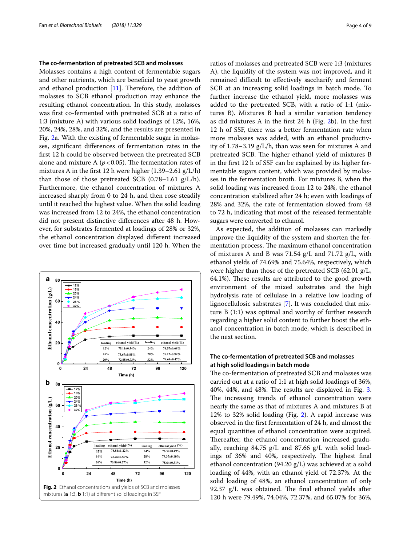## **The co‑fermentation of pretreated SCB and molasses**

Molasses contains a high content of fermentable sugars and other nutrients, which are benefcial to yeast growth and ethanol production  $[11]$  $[11]$ . Therefore, the addition of molasses to SCB ethanol production may enhance the resulting ethanol concentration. In this study, molasses was frst co-fermented with pretreated SCB at a ratio of 1:3 (mixture A) with various solid loadings of 12%, 16%, 20%, 24%, 28%, and 32%, and the results are presented in Fig. [2](#page-3-0)a. With the existing of fermentable sugar in molasses, signifcant diferences of fermentation rates in the frst 12 h could be observed between the pretreated SCB alone and mixture A  $(p<0.05)$ . The fermentation rates of mixtures A in the frst 12 h were higher (1.39–2.61 g/L/h) than those of those pretreated SCB  $(0.78-1.61 \text{ g/L/h})$ . Furthermore, the ethanol concentration of mixtures A increased sharply from 0 to 24 h, and then rose steadily until it reached the highest value. When the solid loading was increased from 12 to 24%, the ethanol concentration did not present distinctive diferences after 48 h. However, for substrates fermented at loadings of 28% or 32%, the ethanol concentration displayed diferent increased over time but increased gradually until 120 h. When the



ratios of molasses and pretreated SCB were 1:3 (mixtures A), the liquidity of the system was not improved, and it remained difficult to effectively saccharify and ferment SCB at an increasing solid loadings in batch mode. To further increase the ethanol yield, more molasses was added to the pretreated SCB, with a ratio of 1:1 (mixtures B). Mixtures B had a similar variation tendency as did mixtures A in the frst 24 h (Fig. [2b](#page-3-0)). In the frst 12 h of SSF, there was a better fermentation rate when more molasses was added, with an ethanol productivity of 1.78–3.19 g/L/h, than was seen for mixtures A and pretreated SCB. The higher ethanol yield of mixtures B in the frst 12 h of SSF can be explained by its higher fermentable sugars content, which was provided by molasses in the fermentation broth. For mixtures B, when the solid loading was increased from 12 to 24%, the ethanol concentration stabilized after 24 h; even with loadings of 28% and 32%, the rate of fermentation slowed from 48 to 72 h, indicating that most of the released fermentable sugars were converted to ethanol.

As expected, the addition of molasses can markedly improve the liquidity of the system and shorten the fermentation process. The maximum ethanol concentration of mixtures A and B was  $71.54$  g/L and  $71.72$  g/L, with ethanol yields of 74.69% and 75.64%, respectively, which were higher than those of the pretreated SCB (62.01 g/L, 64.1%). These results are attributed to the good growth environment of the mixed substrates and the high hydrolysis rate of cellulase in a relative low loading of lignocellulosic substrates [[7](#page-7-6)]. It was concluded that mixture B (1:1) was optimal and worthy of further research regarding a higher solid content to further boost the ethanol concentration in batch mode, which is described in the next section.

# **The co‑fermentation of pretreated SCB and molasses at high solid loadings in batch mode**

<span id="page-3-0"></span>The co-fermentation of pretreated SCB and molasses was carried out at a ratio of 1:1 at high solid loadings of 36%, 40%, 44%, and 48%. The results are displayed in Fig.  $3$ . The increasing trends of ethanol concentration were nearly the same as that of mixtures A and mixtures B at 12% to 32% solid loading (Fig. [2](#page-3-0)). A rapid increase was observed in the frst fermentation of 24 h, and almost the equal quantities of ethanol concentration were acquired. Thereafter, the ethanol concentration increased gradually, reaching 84.75 g/L and 87.66 g/L with solid loadings of 36% and 40%, respectively. The highest final ethanol concentration (94.20 g/L) was achieved at a solid loading of 44%, with an ethanol yield of 72.37%. At the solid loading of 48%, an ethanol concentration of only 92.37  $g/L$  was obtained. The final ethanol yields after 120 h were 79.49%, 74.04%, 72.37%, and 65.07% for 36%,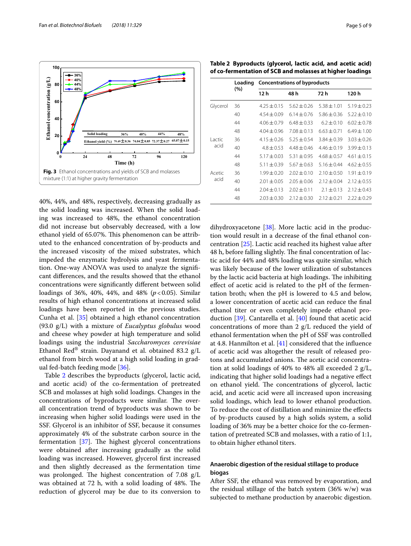

<span id="page-4-0"></span>40%, 44%, and 48%, respectively, decreasing gradually as the solid loading was increased. When the solid loading was increased to 48%, the ethanol concentration did not increase but observably decreased, with a low ethanol yield of 65.07%. This phenomenon can be attributed to the enhanced concentration of by-products and the increased viscosity of the mixed substrates, which impeded the enzymatic hydrolysis and yeast fermentation. One-way ANOVA was used to analyze the signifcant diferences, and the results showed that the ethanol concentrations were signifcantly diferent between solid loadings of 36%, 40%, 44%, and 48% ( $p < 0.05$ ). Similar results of high ethanol concentrations at increased solid loadings have been reported in the previous studies. Cunha et al. [\[35](#page-7-34)] obtained a high ethanol concentration (93.0 g/L) with a mixture of *Eucalyptus globulus* wood and cheese whey powder at high temperature and solid loadings using the industrial *Saccharomyces cerevisiae* Ethanol Red® strain. Dayanand et al. obtained 83.2  $g/L$ ethanol from birch wood at a high solid loading in gradual fed-batch feeding mode [[36\]](#page-7-35).

Table [2](#page-4-1) describes the byproducts (glycerol, lactic acid, and acetic acid) of the co-fermentation of pretreated SCB and molasses at high solid loadings. Changes in the concentrations of byproducts were similar. The overall concentration trend of byproducts was shown to be increasing when higher solid loadings were used in the SSF. Glycerol is an inhibitor of SSF, because it consumes approximately 4% of the substrate carbon source in the fermentation  $[37]$ . The highest glycerol concentrations were obtained after increasing gradually as the solid loading was increased. However, glycerol frst increased and then slightly decreased as the fermentation time was prolonged. The highest concentration of  $7.08 \text{ g/L}$ was obtained at 72 h, with a solid loading of 48%. The reduction of glycerol may be due to its conversion to

<span id="page-4-1"></span>**Table 2 Byproducts (glycerol, lactic acid, and acetic acid) of co-fermentation of SCB and molasses at higher loadings**

|          | Loading | <b>Concentrations of byproducts</b> |                 |                 |                 |  |  |  |
|----------|---------|-------------------------------------|-----------------|-----------------|-----------------|--|--|--|
|          | (%)     | 12 h                                | 48 h            | 72 h            | 120 h           |  |  |  |
| Glycerol | 36      | $4.25 \pm 0.15$                     | $5.62 + 0.26$   | $5.38 + 1.01$   | $5.19 + 0.23$   |  |  |  |
|          | 40      | $4.54 + 0.09$                       | $6.14 \pm 0.76$ | $5.86 \pm 0.36$ | $5.22 \pm 0.10$ |  |  |  |
|          | 44      | $4.06 + 0.79$                       | $6.48 + 0.33$   | $6.2 + 0.10$    | $6.02 + 0.78$   |  |  |  |
|          | 48      | $4.04 + 0.96$                       | $7.08 + 0.13$   | $6.63 + 0.71$   | $6.49 + 1.00$   |  |  |  |
| Lactic   | 36      | $4.15 + 0.26$                       | $5.25 + 0.54$   | $3.84 + 0.39$   | $3.03 \pm 0.26$ |  |  |  |
| acid     | 40      | $4.8 + 0.53$                        | $4.48 + 0.46$   | $4.46 + 0.19$   | $3.99 + 0.13$   |  |  |  |
|          | 44      | $5.17 + 0.03$                       | $5.31 + 0.95$   | $4.68 + 0.57$   | $4.61 \pm 0.15$ |  |  |  |
|          | 48      | $5.11 \pm 0.39$                     | $5.67 + 0.63$   | $5.16 \pm 0.44$ | $4.62 \pm 0.55$ |  |  |  |
| Acetic   | 36      | $1.99 + 0.20$                       | $2.02 + 0.10$   | $2.10 \pm 0.50$ | $1.91 \pm 0.19$ |  |  |  |
| acid     | 40      | $2.01 + 0.05$                       | $2.05 + 0.06$   | $2.12 \pm 0.04$ | $2.12 \pm 0.55$ |  |  |  |
|          | 44      | $2.04 \pm 0.13$                     | $2.02 + 0.11$   | $2.1 \pm 0.13$  | $2.12 \pm 0.43$ |  |  |  |
|          | 48      | $2.03 \pm 0.30$                     | $2.12 \pm 0.30$ | $2.12 \pm 0.21$ | $7.22 \pm 0.29$ |  |  |  |

dihydroxyacetone  $[38]$  $[38]$  $[38]$ . More lactic acid in the production would result in a decrease of the fnal ethanol concentration [\[25](#page-7-24)]. Lactic acid reached its highest value after 48 h, before falling slightly. The final concentration of lactic acid for 44% and 48% loading was quite similar, which was likely because of the lower utilization of substances by the lactic acid bacteria at high loadings. The inhibiting efect of acetic acid is related to the pH of the fermentation broth; when the pH is lowered to 4.5 and below, a lower concentration of acetic acid can reduce the fnal ethanol titer or even completely impede ethanol production [[39](#page-8-1)]. Cantarella et al. [\[40](#page-8-2)] found that acetic acid concentrations of more than 2 g/L reduced the yield of ethanol fermentation when the pH of SSF was controlled at 4.8. Hanmilton et al. [\[41\]](#page-8-3) considered that the infuence of acetic acid was altogether the result of released protons and accumulated anions. The acetic acid concentration at solid loadings of 40% to 48% all exceeded 2 g/L, indicating that higher solid loadings had a negative efect on ethanol yield. The concentrations of glycerol, lactic acid, and acetic acid were all increased upon increasing solid loadings, which lead to lower ethanol production. To reduce the cost of distillation and minimize the efects of by-products caused by a high solids system, a solid loading of 36% may be a better choice for the co-fermentation of pretreated SCB and molasses, with a ratio of 1:1, to obtain higher ethanol titers.

# **Anaerobic digestion of the residual stillage to produce biogas**

After SSF, the ethanol was removed by evaporation, and the residual stillage of the batch system  $(36\% \text{ w/w})$  was subjected to methane production by anaerobic digestion.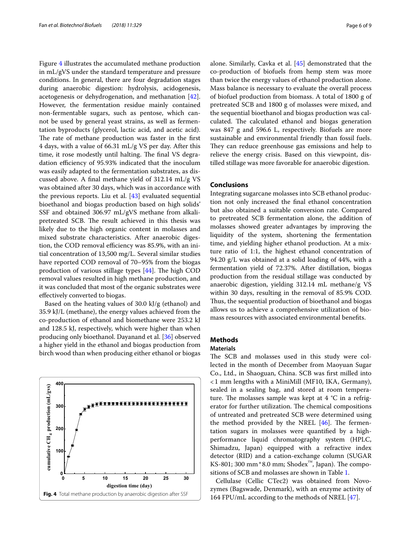Figure [4](#page-5-0) illustrates the accumulated methane production in mL/gVS under the standard temperature and pressure conditions. In general, there are four degradation stages during anaerobic digestion: hydrolysis, acidogenesis, acetogenesis or dehydrogenation, and methanation [\[42](#page-8-4)]. However, the fermentation residue mainly contained non-fermentable sugars, such as pentose, which cannot be used by general yeast strains, as well as fermentation byproducts (glycerol, lactic acid, and acetic acid). The rate of methane production was faster in the first 4 days, with a value of 66.31 mL/g VS per day. After this time, it rose modestly until halting. The final VS degradation efficiency of 95.93% indicated that the inoculum was easily adapted to the fermentation substrates, as discussed above. A fnal methane yield of 312.14 mL/g VS was obtained after 30 days, which was in accordance with the previous reports. Liu et al. [\[43](#page-8-5)] evaluated sequential bioethanol and biogas production based on high solids' SSF and obtained 306.97 mL/gVS methane from alkalipretreated SCB. The result achieved in this thesis was likely due to the high organic content in molasses and mixed substrate characteristics. After anaerobic digestion, the COD removal efficiency was 85.9%, with an initial concentration of 13,500 mg/L. Several similar studies have reported COD removal of 70–95% from the biogas production of various stillage types  $[44]$  $[44]$ . The high COD removal values resulted in high methane production, and it was concluded that most of the organic substrates were efectively converted to biogas.

Based on the heating values of 30.0 kJ/g (ethanol) and 35.9 kJ/L (methane), the energy values achieved from the co-production of ethanol and biomethane were 253.2 kJ and 128.5 kJ, respectively, which were higher than when producing only bioethanol. Dayanand et al. [\[36\]](#page-7-35) observed a higher yield in the ethanol and biogas production from birch wood than when producing either ethanol or biogas

<span id="page-5-0"></span>

alone. Similarly, Cavka et al. [\[45](#page-8-7)] demonstrated that the co-production of biofuels from hemp stem was more than twice the energy values of ethanol production alone. Mass balance is necessary to evaluate the overall process of biofuel production from biomass. A total of 1800 g of pretreated SCB and 1800 g of molasses were mixed, and the sequential bioethanol and biogas production was calculated. The calculated ethanol and biogas generation was 847 g and 596.6 L, respectively. Biofuels are more sustainable and environmental friendly than fossil fuels. They can reduce greenhouse gas emissions and help to relieve the energy crisis. Based on this viewpoint, distilled stillage was more favorable for anaerobic digestion.

# **Conclusions**

Integrating sugarcane molasses into SCB ethanol production not only increased the fnal ethanol concentration but also obtained a suitable conversion rate. Compared to pretreated SCB fermentation alone, the addition of molasses showed greater advantages by improving the liquidity of the system, shortening the fermentation time, and yielding higher ethanol production. At a mixture ratio of 1:1, the highest ethanol concentration of 94.20 g/L was obtained at a solid loading of 44%, with a fermentation yield of 72.37%. After distillation, biogas production from the residual stillage was conducted by anaerobic digestion, yielding 312.14 mL methane/g VS within 30 days, resulting in the removal of 85.9% COD. Thus, the sequential production of bioethanol and biogas allows us to achieve a comprehensive utilization of biomass resources with associated environmental benefts.

# **Methods**

# **Materials**

The SCB and molasses used in this study were collected in the month of December from Maoyuan Sugar Co., Ltd., in Shaoguan, China. SCB was frst milled into <1 mm lengths with a MiniMill (MF10, IKA, Germany), sealed in a sealing bag, and stored at room temperature. The molasses sample was kept at  $4 °C$  in a refrigerator for further utilization. The chemical compositions of untreated and pretreated SCB were determined using the method provided by the NREL  $[46]$  $[46]$ . The fermentation sugars in molasses were quantifed by a highperformance liquid chromatography system (HPLC, Shimadzu, Japan) equipped with a refractive index detector (RID) and a cation-exchange column (SUGAR KS-801; 300 mm\*8.0 mm; Shodex<sup>™</sup>, Japan). The compositions of SCB and molasses are shown in Table [1.](#page-2-0)

Cellulase (Cellic CTec2) was obtained from Novozymes (Bagswade, Denmark), with an enzyme activity of 164 FPU/mL according to the methods of NREL [[47](#page-8-9)].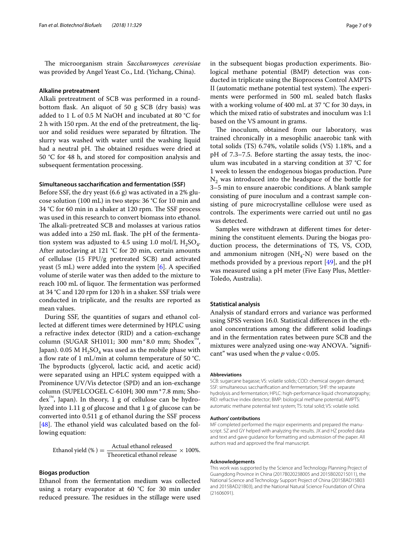The microorganism strain *Saccharomyces cerevisiae* was provided by Angel Yeast Co., Ltd. (Yichang, China).

#### **Alkaline pretreatment**

Alkali pretreatment of SCB was performed in a roundbottom fask. An aliquot of 50 g SCB (dry basis) was added to 1 L of 0.5 M NaOH and incubated at 80 °C for 2 h with 150 rpm. At the end of the pretreatment, the liquor and solid residues were separated by filtration. The slurry was washed with water until the washing liquid had a neutral pH. The obtained residues were dried at 50 °C for 48 h, and stored for composition analysis and subsequent fermentation processing.

## **Simultaneous saccharifcation and fermentation (SSF)**

Before SSF, the dry yeast (6.6 g) was activated in a 2% glucose solution (100 mL) in two steps: 36 °C for 10 min and 34 °C for 60 min in a shaker at 120 rpm. The SSF process was used in this research to convert biomass into ethanol. The alkali-pretreated SCB and molasses at various ratios was added into a 250 mL flask. The pH of the fermentation system was adjusted to 4.5 using 1.0 mol/L  $H_2SO_4$ . After autoclaving at 121 °C for 20 min, certain amounts of cellulase (15 FPU/g pretreated SCB) and activated yeast (5 mL) were added into the system  $[6]$  $[6]$ . A specified volume of sterile water was then added to the mixture to reach 100 mL of liquor. The fermentation was performed at 34 °C and 120 rpm for 120 h in a shaker. SSF trials were conducted in triplicate, and the results are reported as mean values.

During SSF, the quantities of sugars and ethanol collected at diferent times were determined by HPLC using a refractive index detector (RID) and a cation-exchange column (SUGAR SH1011; 300 mm\*8.0 mm; Shodex™, Japan). 0.05 M  $H_2SO_4$  was used as the mobile phase with a flow rate of 1 mL/min at column temperature of 50 °C. The byproducts (glycerol, lactic acid, and acetic acid) were separated using an HPLC system equipped with a Prominence UV/Vis detector (SPD) and an ion-exchange column (SUPELCOGEL C-610H; 300 mm\*7.8 mm; Sho- $\text{dex}^{\text{TM}}$ , Japan). In theory, 1 g of cellulose can be hydrolyzed into 1.11 g of glucose and that 1 g of glucose can be converted into 0.511 g of ethanol during the SSF process [[48\]](#page-8-10). The ethanol yield was calculated based on the following equation:

$$
Ethanol yield (\%) = \frac{Actual ethanol released}{Theoretical ethanol release} \times 100\%.
$$

## **Biogas production**

Ethanol from the fermentation medium was collected using a rotary evaporator at 60 °C for 30 min under reduced pressure. The residues in the stillage were used in the subsequent biogas production experiments. Biological methane potential (BMP) detection was conducted in triplicate using the Bioprocess Control AMPTS II (automatic methane potential test system). The experiments were performed in 500 mL sealed batch fasks with a working volume of 400 mL at 37 °C for 30 days, in which the mixed ratio of substrates and inoculum was 1:1 based on the VS amount in grams.

The inoculum, obtained from our laboratory, was trained chronically in a mesophilic anaerobic tank with total solids (TS) 6.74%, volatile solids (VS) 1.18%, and a pH of 7.3–7.5. Before starting the assay tests, the inoculum was incubated in a starving condition at 37 °C for 1 week to lessen the endogenous biogas production. Pure  $N<sub>2</sub>$  was introduced into the headspace of the bottle for 3–5 min to ensure anaerobic conditions. A blank sample consisting of pure inoculum and a contrast sample consisting of pure microcrystalline cellulose were used as controls. The experiments were carried out until no gas was detected.

Samples were withdrawn at diferent times for determining the constituent elements. During the biogas production process, the determinations of TS, VS, COD, and ammonium nitrogen ( $NH_4-N$ ) were based on the methods provided by a previous report [\[49](#page-8-11)], and the pH was measured using a pH meter (Five Easy Plus, Mettler-Toledo, Australia).

#### **Statistical analysis**

Analysis of standard errors and variance was performed using SPSS version 16.0. Statistical diferences in the ethanol concentrations among the diferent solid loadings and in the fermentation rates between pure SCB and the mixtures were analyzed using one-way ANOVA. "significant" was used when the  $p$  value < 0.05.

#### **Abbreviations**

SCB: sugarcane bagasse; VS: volatile solids; COD: chemical oxygen demand; SSF: simultaneous saccharifcation and fermentation; SHF: the separate hydrolysis and fermentation; HPLC: high-performance liquid chromatography; RID: refractive index detector; BMP: biological methane potential; AMPTS: automatic methane potential test system; TS: total solid; VS: volatile solid.

#### **Authors' contributions**

MF completed performed the major experiments and prepared the manuscript. SZ and GY helped with analyzing the results. JX and HZ proofed data and text and gave guidance for formatting and submission of the paper. All authors read and approved the fnal manuscript.

#### **Acknowledgements**

This work was supported by the Science and Technology Planning Project of Guangdong Province in China (2017B020238005 and 2015B020215011), the National Science and Technology Support Project of China (2015BAD15B03 and 2015BAD21B03), and the National Natural Science Foundation of China (21606091).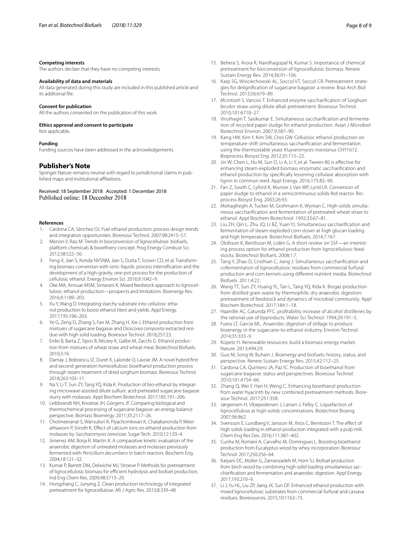#### **Competing interests**

The authors declare that they have no competing interests.

## **Availability of data and materials**

All data generated during this study are included in this published article and its additional fle.

#### **Consent for publication**

All the authors consented on the publication of this work.

#### **Ethics approval and consent to participate**

Not applicable.

## **Funding**

Funding sources have been addressed in the acknowledgements.

## **Publisher's Note**

Springer Nature remains neutral with regard to jurisdictional claims in published maps and institutional afliations.

Received: 18 September 2018 Accepted: 1 December 2018

#### **References**

- <span id="page-7-0"></span>Cardona CA, Sánchez OJ. Fuel ethanol production: process design trends and integration opportunities. Bioresour Technol. 2007;98:2415–57.
- <span id="page-7-1"></span>2. Menon V, Rao M. Trends in bioconversion of lignocellulose: biofuels, platform chemicals & biorefnery concept. Prog Energy Combust Sci. 2012;38:522–50.
- <span id="page-7-2"></span>3. Feng X, Jian S, Konda NVSNM, Jian S, Dutta T, Scown CD, et al. Transforming biomass conversion with ionic liquids: process intensifcation and the development of a high-gravity, one-pot process for the production of cellulosic ethanol. Energy Environ Sci. 2016;9:1042–9.
- <span id="page-7-3"></span>4. Oke MA, Annuar MSM, Simarani K. Mixed feedstock approach to lignocellulosic ethanol production—prospects and limitations. Bioenergy Res. 2016;9:1189–203.
- <span id="page-7-4"></span>5. Xu Y, Wang D. Integrating starchy substrate into cellulosic ethanol production to boost ethanol titers and yields. Appl Energy. 2017;195:196–203.
- <span id="page-7-5"></span>6. Ye G, Zeng D, Zhang S, Fan M, Zhang H, Xie J. Ethanol production from mixtures of sugarcane bagasse and *Dioscorea composita* extracted residue with high solid loading. Bioresour Technol. 2018;257:23.
- <span id="page-7-6"></span>7. Erdei B, Barta Z, Sipos B, Réczey K, Galbe M, Zacchi G. Ethanol production from mixtures of wheat straw and wheat meal. Biotechnol Biofuels. 2010;3:16.
- <span id="page-7-7"></span>8. Damay J, Boboescu IZ, Duret X, Lalonde O, Lavoie JM. A novel hybrid frst and second generation hemicellulosic bioethanol production process through steam treatment of dried sorghum biomass. Bioresour Technol. 2018;263:103–11.
- <span id="page-7-8"></span>9. Na Y, Li T, Sun ZY, Tang YQ, Kida K. Production of bio-ethanol by integrating microwave-assisted dilute sulfuric acid pretreated sugarcane bagasse slurry with molasses. Appl Biochem Biotechnol. 2017;185:191–206.
- <span id="page-7-9"></span>10. Leibbrandt NH, Knoetze JH, Görgens JF. Comparing biological and thermochemical processing of sugarcane bagasse: an energy balance perspective. Biomass Bioenergy. 2011;35:2117–26.
- <span id="page-7-10"></span>11. Chotineeranat S, Wansuksri R, Piyachomkwan K, Chatakanonda P, Weerathaworn P, Sriroth K. Efect of calcium ions on ethanol production from molasses by *Saccharomyces cerevisiae*. Sugar Tech. 2010;12:120–4.
- <span id="page-7-11"></span>12. Jimenez AM, Borja R, Martin A. A comparative kinetic evaluation of the anaerobic digestion of untreated molasses and molasses previously fermented with *Penicillium decumbens* in batch reactors. Biochem Eng. 2004;18:121–32.
- <span id="page-7-12"></span>13. Kumar P, Barrett DM, Delwiche MJ, Stroeve P. Methods for pretreatment of lignocellulosic biomass for efficient hydrolysis and biofuel production. Ind Eng Chem Res. 2009;48:3713–29.
- <span id="page-7-13"></span>14. Hongzhang C, Junying Z. Clean production technology of integrated pretreatment for lignocellulose. Afr J Agric Res. 2013;8:339–48.
- <span id="page-7-14"></span>15. Behera S, Arora R, Nandhagopal N, Kumar S. Importance of chemical pretreatment for bioconversion of lignocellulosic biomass. Renew Sustain Energy Rev. 2014;36:91–106.
- <span id="page-7-15"></span>16. Karp SG, Woiciechowski AL, Soccol VT, Soccol CR. Pretreatment strategies for delignifcation of sugarcane bagasse: a review. Braz Arch Biol Technol. 2013;56:679–89.
- <span id="page-7-16"></span>17. Mcintosh S, Vancov T. Enhanced enzyme saccharifcation of Sorghum bicolor straw using dilute alkali pretreatment. Bioresour Technol. 2010;101:6718–27.
- <span id="page-7-17"></span>18. Viruthagiri T, Sasikumar E. Simultaneous saccharifcation and fermentation of recycled paper sludge for ethanol production. Asian J Microbiol Biotechnol Environ. 2007;9:587–90.
- <span id="page-7-18"></span>19. Kang HW, Kim Y, Kim SW, Choi GW. Cellulosic ethanol production on temperature-shift simultaneous saccharifcation and fermentation using the thermostable yeast *Kluyveromyces marxianus* CHY1612. Bioprocess Biosyst Eng. 2012;35:115–22.
- <span id="page-7-19"></span>20. Jin W, Chen L, Hu M, Sun D, Li A, Li Y, et al. Tween-80 is efective for enhancing steam-exploded biomass enzymatic saccharifcation and ethanol production by specifcally lessening cellulase absorption with lignin in common reed. Appl Energy. 2016;175:82–90.
- <span id="page-7-20"></span>21. Fan Z, South C, Lyford K, Munsie J, Van WP, Lynd LR. Conversion of paper sludge to ethanol in a semicontinuous solids-fed reactor. Bioprocess Biosyst Eng. 2003;26:93.
- <span id="page-7-21"></span>22. Mohagheghi A, Tucker M, Grohmann K, Wyman C. High solids simultaneous saccharifcation and fermentation of pretreated wheat straw to ethanol. Appl Biochem Biotechnol. 1992;33:67–81.
- <span id="page-7-22"></span>23. Liu ZH, Qin L, Zhu JQ, Li BZ, Yuan YJ. Simultaneous saccharifcation and fermentation of steam-exploded corn stover at high glucan loading and high temperature. Biotechnol Biofuels. 2014;7:167.
- <span id="page-7-23"></span>24. Olofsson K, Bertilsson M, Lidén G. A short review on SSF—an interesting process option for ethanol production from lignocellulosic feedstocks. Biotechnol Biofuels. 2008;1:7.
- <span id="page-7-24"></span>25. Tang Y, Zhao D, Cristhian C, Jiang J. Simultaneous saccharifcation and cofermentation of lignocellulosic residues from commercial furfural production and corn kernels using diferent nutrient media. Biotechnol Biofuels. 2011;4:22.
- <span id="page-7-25"></span>26. Wang TT, Sun ZY, Huang YL, Tan L, Tang YQ, Kida K. Biogas production from distilled grain waste by thermophilic dry anaerobic digestion: pretreatment of feedstock and dynamics of microbial community. Appl Biochem Biotechnol. 2017;184:1–18.
- <span id="page-7-26"></span>27. Haandle AC, Catunda PFC. proftability increase of alcohol distilleries by the rational use of byproducts. Water Sci Technol. 1994;29:191–5.
- <span id="page-7-27"></span>28. Fuess LT, Garcia ML. Anaerobic digestion of stillage to produce bioenergy in the sugarcane-to-ethanol industry. Environ Technol. 2014;35:333–9.
- <span id="page-7-28"></span>29. Kopetz H. Renewable resources: build a biomass energy market. Nature. 2013;494:29.
- <span id="page-7-29"></span>30. Guo M, Song W, Buhain J. Bioenergy and biofuels: history, status, and perspective. Renew Sustain Energy Rev. 2015;42:712–25.
- <span id="page-7-30"></span>31. Cardona CA, Quintero JA, Paz IC. Production of bioethanol from sugarcane bagasse: status and perspectives. Bioresour Technol. 2010;101:4754–66.
- <span id="page-7-31"></span>32. Zhang Q, Wei Y, Han H, Weng C. Enhancing bioethanol production from water hyacinth by new combined pretreatment methods. Bioresour Technol. 2017;251:358.
- <span id="page-7-32"></span>33. Jørgensen H, Vibepedersen J, Larsen J, Felby C. Liquefaction of lignocellulose at high-solids concentrations. Biotechnol Bioeng. 2007;96:862.
- <span id="page-7-33"></span>34. Svensson E, Lundberg V, Jansson M, Xiros C, Berntsson T. The efect of high solids loading in ethanol production integrated with a pulp mill. Chem Eng Res Des. 2016;111:387–402.
- <span id="page-7-34"></span>35. Cunha M, Romaní A, Carvalho M, Domingues L. Boosting bioethanol production from Eucalyptus wood by whey incorporation. Bioresour Technol. 2017;250:256–64.
- <span id="page-7-35"></span>36. Kalyani DC, Müller G, Zamanzadeh M, Horn SJ. Biofuel production from birch wood by combining high solid loading simultaneous saccharifcation and fermentation and anaerobic digestion. Appl Energy. 2017;193:210–9.
- <span id="page-7-36"></span>37. Li J, Yu HL, Liu ZP, Jiang JX, Sun DF. Enhanced ethanol production with mixed lignocellulosic substrates from commercial furfural and cassava residues. Bioresources. 2015;10:1162–73.